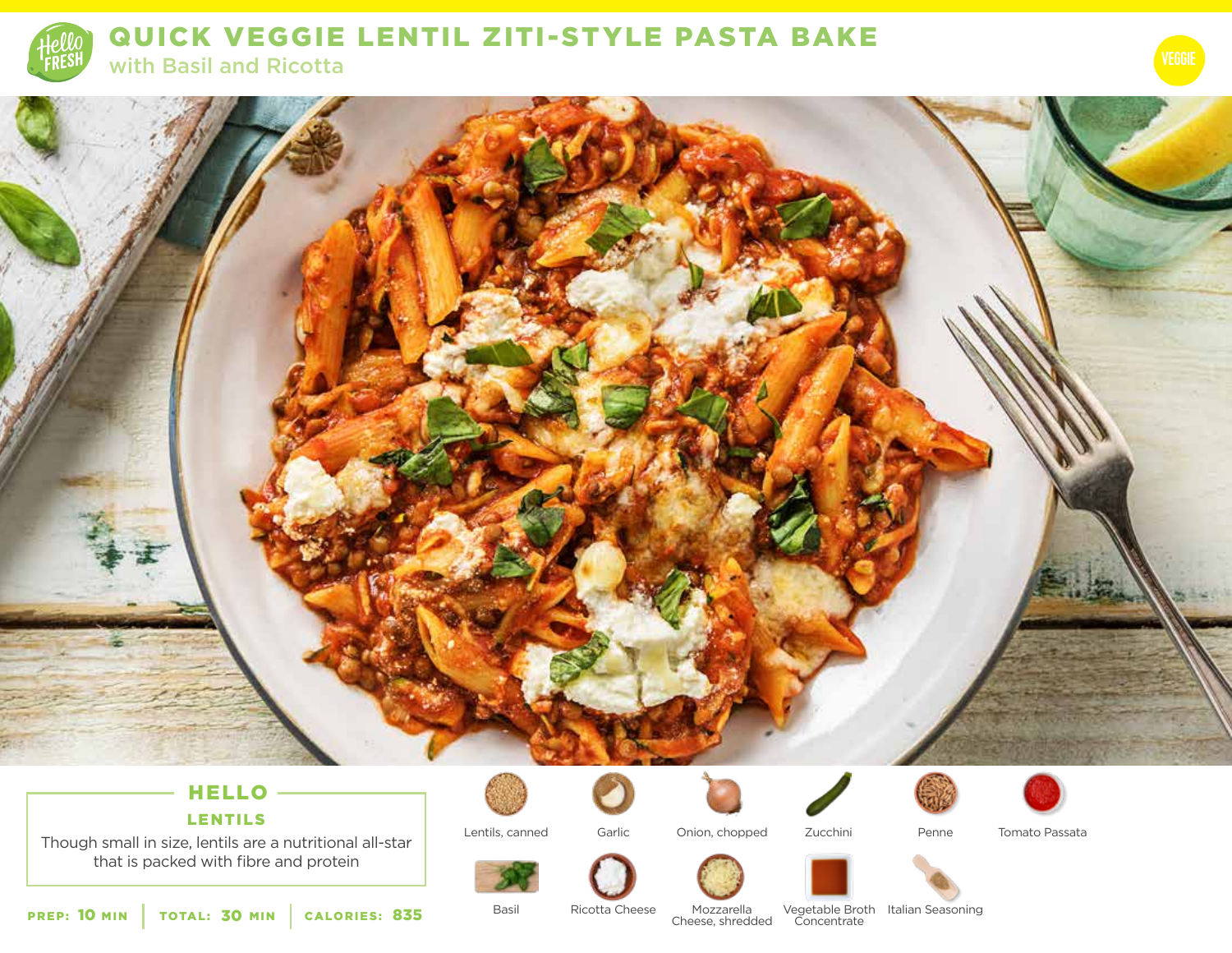

QUICK VEGGIE LENTIL ZITI-STYLE PASTA BAKE with Basil and Ricotta

# HELLO

LENTILS

Though small in size, lentils are a nutritional all-star that is packed with fibre and protein











Tomato Passata

Lentils, canned





Penne

PREP: 10 MIN | TOTAL: 30 MIN | CALORIES: **CALORIES: 835** Basil Bast Ricotta Cheese Mozzarella<br>Cheese, shredded

Basil

Ricotta Cheese Mozzarella

Concentrate Vegetable Broth Italian Seasoning